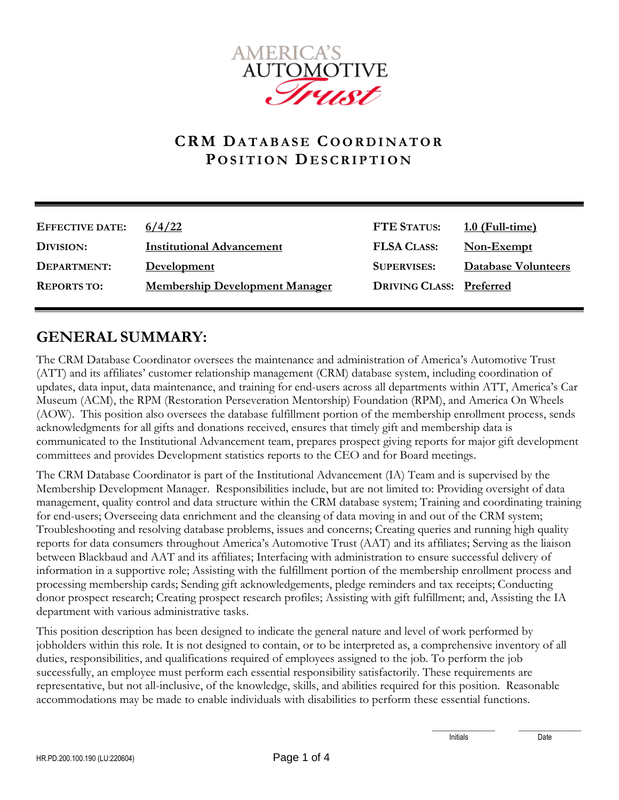

## **C R M DA T A B A S E CO O R D I N A T O R P O S I T I O N DE S C R I P T I O N**

| <b>EFFECTIVE DATE:</b> | 6/4/22                                | <b>FTE STATUS:</b>              | $1.0$ (Full-time)          |
|------------------------|---------------------------------------|---------------------------------|----------------------------|
| DIVISION:              | <b>Institutional Advancement</b>      | <b>FLSA CLASS:</b>              | Non-Exempt                 |
| DEPARTMENT:            | <b>Development</b>                    | <b>SUPERVISES:</b>              | <b>Database Volunteers</b> |
| <b>REPORTS TO:</b>     | <b>Membership Development Manager</b> | <b>DRIVING CLASS: Preferred</b> |                            |

## **GENERAL SUMMARY:**

The CRM Database Coordinator oversees the maintenance and administration of America's Automotive Trust (ATT) and its affiliates' customer relationship management (CRM) database system, including coordination of updates, data input, data maintenance, and training for end-users across all departments within ATT, America's Car Museum (ACM), the RPM (Restoration Perseveration Mentorship) Foundation (RPM), and America On Wheels (AOW). This position also oversees the database fulfillment portion of the membership enrollment process, sends acknowledgments for all gifts and donations received, ensures that timely gift and membership data is communicated to the Institutional Advancement team, prepares prospect giving reports for major gift development committees and provides Development statistics reports to the CEO and for Board meetings.

The CRM Database Coordinator is part of the Institutional Advancement (IA) Team and is supervised by the Membership Development Manager. Responsibilities include, but are not limited to: Providing oversight of data management, quality control and data structure within the CRM database system; Training and coordinating training for end-users; Overseeing data enrichment and the cleansing of data moving in and out of the CRM system; Troubleshooting and resolving database problems, issues and concerns; Creating queries and running high quality reports for data consumers throughout America's Automotive Trust (AAT) and its affiliates; Serving as the liaison between Blackbaud and AAT and its affiliates; Interfacing with administration to ensure successful delivery of information in a supportive role; Assisting with the fulfillment portion of the membership enrollment process and processing membership cards; Sending gift acknowledgements, pledge reminders and tax receipts; Conducting donor prospect research; Creating prospect research profiles; Assisting with gift fulfillment; and, Assisting the IA department with various administrative tasks.

This position description has been designed to indicate the general nature and level of work performed by jobholders within this role. It is not designed to contain, or to be interpreted as, a comprehensive inventory of all duties, responsibilities, and qualifications required of employees assigned to the job. To perform the job successfully, an employee must perform each essential responsibility satisfactorily. These requirements are representative, but not all-inclusive, of the knowledge, skills, and abilities required for this position. Reasonable accommodations may be made to enable individuals with disabilities to perform these essential functions.

Initials Date

\_\_\_\_\_\_\_\_\_\_\_\_\_\_\_\_\_ \_\_\_\_\_\_\_\_\_\_\_\_\_\_\_\_\_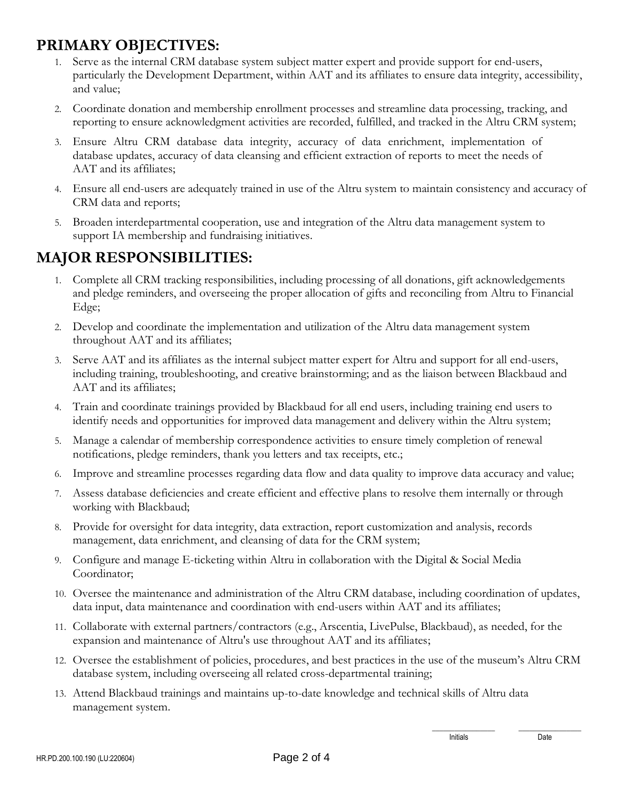## **PRIMARY OBJECTIVES:**

- 1. Serve as the internal CRM database system subject matter expert and provide support for end-users, particularly the Development Department, within AAT and its affiliates to ensure data integrity, accessibility, and value;
- 2. Coordinate donation and membership enrollment processes and streamline data processing, tracking, and reporting to ensure acknowledgment activities are recorded, fulfilled, and tracked in the Altru CRM system;
- 3. Ensure Altru CRM database data integrity, accuracy of data enrichment, implementation of database updates, accuracy of data cleansing and efficient extraction of reports to meet the needs of AAT and its affiliates;
- 4. Ensure all end-users are adequately trained in use of the Altru system to maintain consistency and accuracy of CRM data and reports;
- 5. Broaden interdepartmental cooperation, use and integration of the Altru data management system to support IA membership and fundraising initiatives.

## **MAJOR RESPONSIBILITIES:**

- 1. Complete all CRM tracking responsibilities, including processing of all donations, gift acknowledgements and pledge reminders, and overseeing the proper allocation of gifts and reconciling from Altru to Financial Edge;
- 2. Develop and coordinate the implementation and utilization of the Altru data management system throughout AAT and its affiliates;
- 3. Serve AAT and its affiliates as the internal subject matter expert for Altru and support for all end-users, including training, troubleshooting, and creative brainstorming; and as the liaison between Blackbaud and AAT and its affiliates;
- 4. Train and coordinate trainings provided by Blackbaud for all end users, including training end users to identify needs and opportunities for improved data management and delivery within the Altru system;
- 5. Manage a calendar of membership correspondence activities to ensure timely completion of renewal notifications, pledge reminders, thank you letters and tax receipts, etc.;
- 6. Improve and streamline processes regarding data flow and data quality to improve data accuracy and value;
- 7. Assess database deficiencies and create efficient and effective plans to resolve them internally or through working with Blackbaud;
- 8. Provide for oversight for data integrity, data extraction, report customization and analysis, records management, data enrichment, and cleansing of data for the CRM system;
- 9. Configure and manage E-ticketing within Altru in collaboration with the Digital & Social Media Coordinator;
- 10. Oversee the maintenance and administration of the Altru CRM database, including coordination of updates, data input, data maintenance and coordination with end-users within AAT and its affiliates;
- 11. Collaborate with external partners/contractors (e.g., Arscentia, LivePulse, Blackbaud), as needed, for the expansion and maintenance of Altru's use throughout AAT and its affiliates;
- 12. Oversee the establishment of policies, procedures, and best practices in the use of the museum's Altru CRM database system, including overseeing all related cross-departmental training;
- 13. Attend Blackbaud trainings and maintains up-to-date knowledge and technical skills of Altru data management system.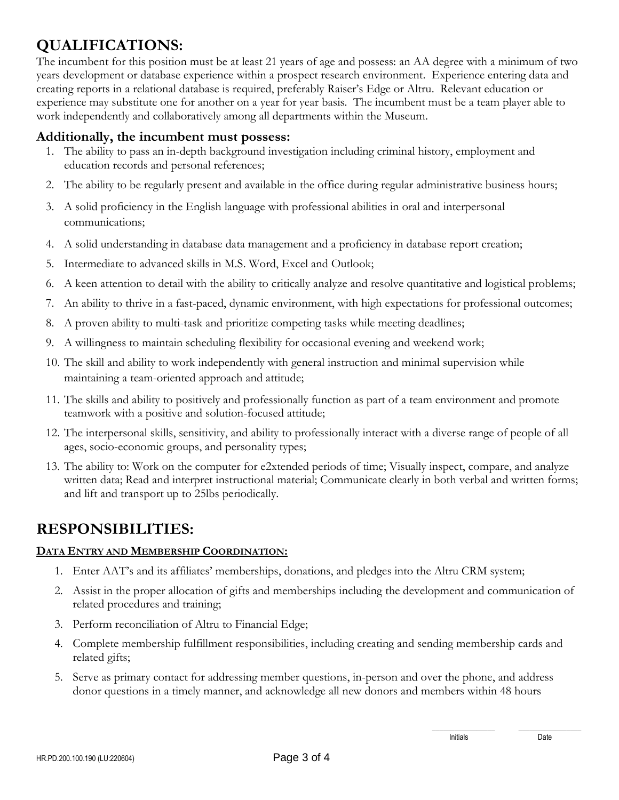# **QUALIFICATIONS:**

The incumbent for this position must be at least 21 years of age and possess: an AA degree with a minimum of two years development or database experience within a prospect research environment. Experience entering data and creating reports in a relational database is required, preferably Raiser's Edge or Altru. Relevant education or experience may substitute one for another on a year for year basis. The incumbent must be a team player able to work independently and collaboratively among all departments within the Museum.

### **Additionally, the incumbent must possess:**

- 1. The ability to pass an in-depth background investigation including criminal history, employment and education records and personal references;
- 2. The ability to be regularly present and available in the office during regular administrative business hours;
- 3. A solid proficiency in the English language with professional abilities in oral and interpersonal communications;
- 4. A solid understanding in database data management and a proficiency in database report creation;
- 5. Intermediate to advanced skills in M.S. Word, Excel and Outlook;
- 6. A keen attention to detail with the ability to critically analyze and resolve quantitative and logistical problems;
- 7. An ability to thrive in a fast-paced, dynamic environment, with high expectations for professional outcomes;
- 8. A proven ability to multi-task and prioritize competing tasks while meeting deadlines;
- 9. A willingness to maintain scheduling flexibility for occasional evening and weekend work;
- 10. The skill and ability to work independently with general instruction and minimal supervision while maintaining a team-oriented approach and attitude;
- 11. The skills and ability to positively and professionally function as part of a team environment and promote teamwork with a positive and solution-focused attitude;
- 12. The interpersonal skills, sensitivity, and ability to professionally interact with a diverse range of people of all ages, socio-economic groups, and personality types;
- 13. The ability to: Work on the computer for e2xtended periods of time; Visually inspect, compare, and analyze written data; Read and interpret instructional material; Communicate clearly in both verbal and written forms; and lift and transport up to 25lbs periodically.

### **RESPONSIBILITIES:**

#### **DATA ENTRY AND MEMBERSHIP COORDINATION:**

- 1. Enter AAT's and its affiliates' memberships, donations, and pledges into the Altru CRM system;
- 2. Assist in the proper allocation of gifts and memberships including the development and communication of related procedures and training;
- 3. Perform reconciliation of Altru to Financial Edge;
- 4. Complete membership fulfillment responsibilities, including creating and sending membership cards and related gifts;
- 5. Serve as primary contact for addressing member questions, in-person and over the phone, and address donor questions in a timely manner, and acknowledge all new donors and members within 48 hours